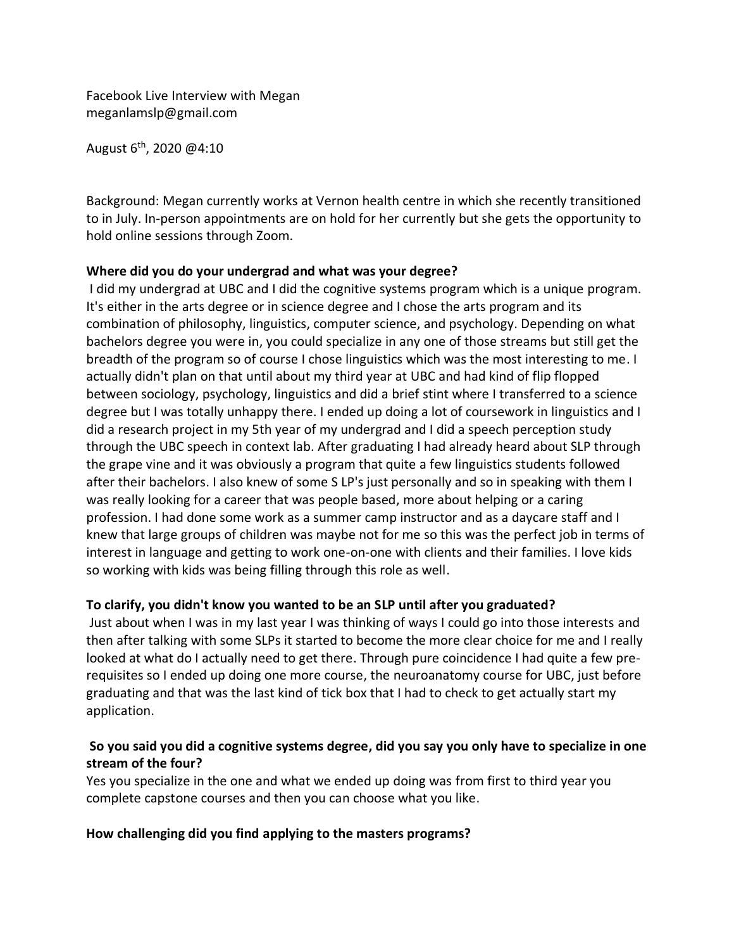Facebook Live Interview with Megan meganlamslp@gmail.com

August 6th, 2020 @4:10

Background: Megan currently works at Vernon health centre in which she recently transitioned to in July. In-person appointments are on hold for her currently but she gets the opportunity to hold online sessions through Zoom.

# **Where did you do your undergrad and what was your degree?**

I did my undergrad at UBC and I did the cognitive systems program which is a unique program. It's either in the arts degree or in science degree and I chose the arts program and its combination of philosophy, linguistics, computer science, and psychology. Depending on what bachelors degree you were in, you could specialize in any one of those streams but still get the breadth of the program so of course I chose linguistics which was the most interesting to me. I actually didn't plan on that until about my third year at UBC and had kind of flip flopped between sociology, psychology, linguistics and did a brief stint where I transferred to a science degree but I was totally unhappy there. I ended up doing a lot of coursework in linguistics and I did a research project in my 5th year of my undergrad and I did a speech perception study through the UBC speech in context lab. After graduating I had already heard about SLP through the grape vine and it was obviously a program that quite a few linguistics students followed after their bachelors. I also knew of some S LP's just personally and so in speaking with them I was really looking for a career that was people based, more about helping or a caring profession. I had done some work as a summer camp instructor and as a daycare staff and I knew that large groups of children was maybe not for me so this was the perfect job in terms of interest in language and getting to work one-on-one with clients and their families. I love kids so working with kids was being filling through this role as well.

# **To clarify, you didn't know you wanted to be an SLP until after you graduated?**

Just about when I was in my last year I was thinking of ways I could go into those interests and then after talking with some SLPs it started to become the more clear choice for me and I really looked at what do I actually need to get there. Through pure coincidence I had quite a few prerequisites so I ended up doing one more course, the neuroanatomy course for UBC, just before graduating and that was the last kind of tick box that I had to check to get actually start my application.

# **So you said you did a cognitive systems degree, did you say you only have to specialize in one stream of the four?**

Yes you specialize in the one and what we ended up doing was from first to third year you complete capstone courses and then you can choose what you like.

### **How challenging did you find applying to the masters programs?**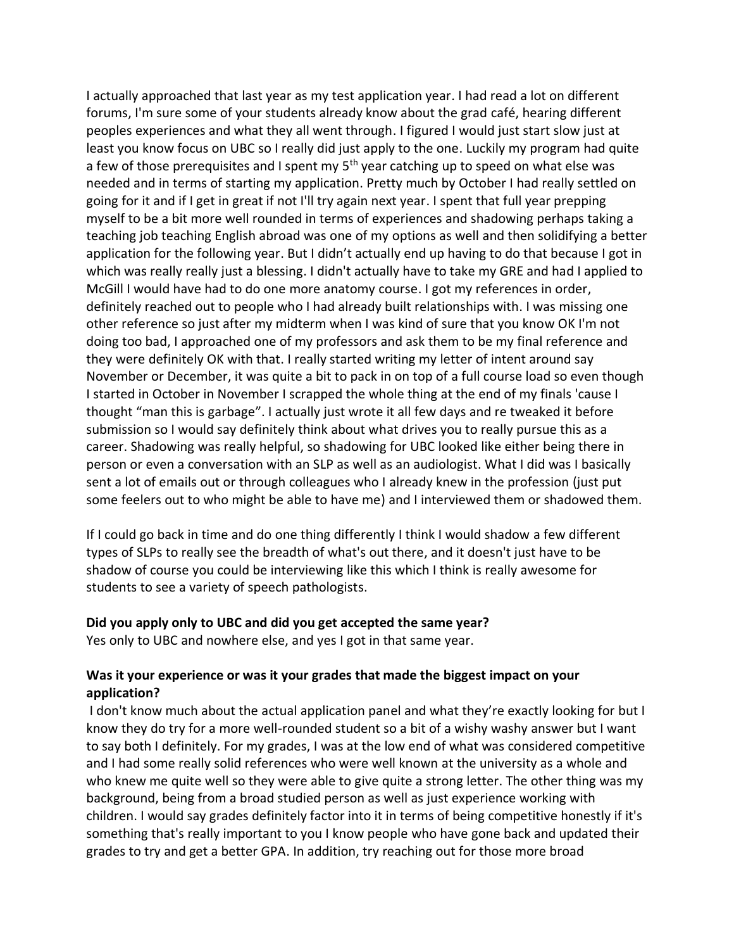I actually approached that last year as my test application year. I had read a lot on different forums, I'm sure some of your students already know about the grad café, hearing different peoples experiences and what they all went through. I figured I would just start slow just at least you know focus on UBC so I really did just apply to the one. Luckily my program had quite a few of those prerequisites and I spent my  $5<sup>th</sup>$  year catching up to speed on what else was needed and in terms of starting my application. Pretty much by October I had really settled on going for it and if I get in great if not I'll try again next year. I spent that full year prepping myself to be a bit more well rounded in terms of experiences and shadowing perhaps taking a teaching job teaching English abroad was one of my options as well and then solidifying a better application for the following year. But I didn't actually end up having to do that because I got in which was really really just a blessing. I didn't actually have to take my GRE and had I applied to McGill I would have had to do one more anatomy course. I got my references in order, definitely reached out to people who I had already built relationships with. I was missing one other reference so just after my midterm when I was kind of sure that you know OK I'm not doing too bad, I approached one of my professors and ask them to be my final reference and they were definitely OK with that. I really started writing my letter of intent around say November or December, it was quite a bit to pack in on top of a full course load so even though I started in October in November I scrapped the whole thing at the end of my finals 'cause I thought "man this is garbage". I actually just wrote it all few days and re tweaked it before submission so I would say definitely think about what drives you to really pursue this as a career. Shadowing was really helpful, so shadowing for UBC looked like either being there in person or even a conversation with an SLP as well as an audiologist. What I did was I basically sent a lot of emails out or through colleagues who I already knew in the profession (just put some feelers out to who might be able to have me) and I interviewed them or shadowed them.

If I could go back in time and do one thing differently I think I would shadow a few different types of SLPs to really see the breadth of what's out there, and it doesn't just have to be shadow of course you could be interviewing like this which I think is really awesome for students to see a variety of speech pathologists.

### **Did you apply only to UBC and did you get accepted the same year?**

Yes only to UBC and nowhere else, and yes I got in that same year.

# **Was it your experience or was it your grades that made the biggest impact on your application?**

I don't know much about the actual application panel and what they're exactly looking for but I know they do try for a more well-rounded student so a bit of a wishy washy answer but I want to say both I definitely. For my grades, I was at the low end of what was considered competitive and I had some really solid references who were well known at the university as a whole and who knew me quite well so they were able to give quite a strong letter. The other thing was my background, being from a broad studied person as well as just experience working with children. I would say grades definitely factor into it in terms of being competitive honestly if it's something that's really important to you I know people who have gone back and updated their grades to try and get a better GPA. In addition, try reaching out for those more broad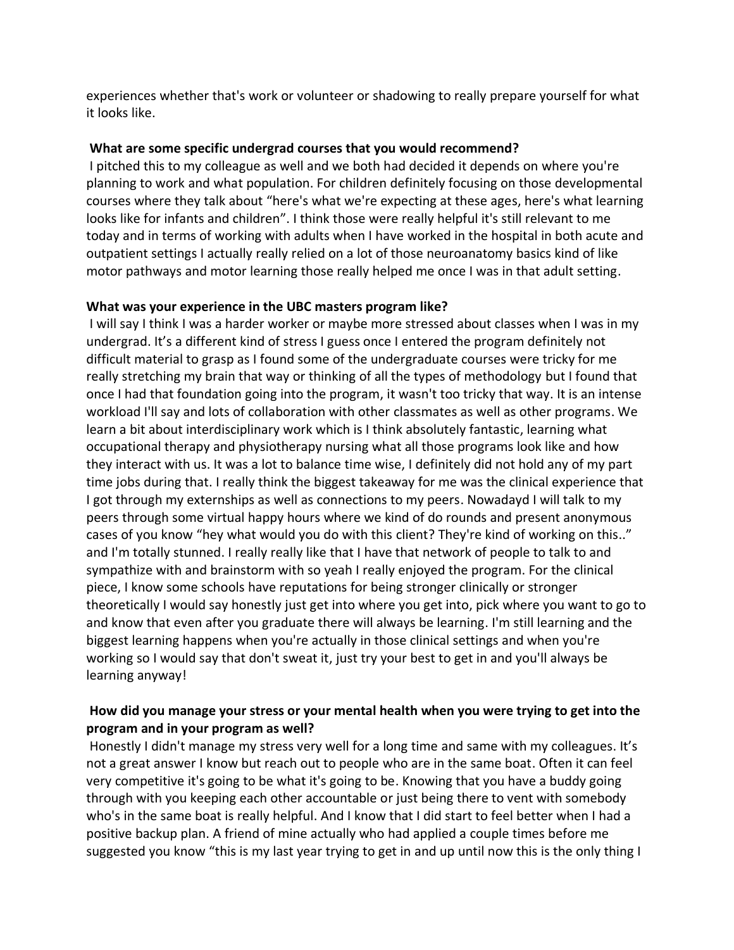experiences whether that's work or volunteer or shadowing to really prepare yourself for what it looks like.

## **What are some specific undergrad courses that you would recommend?**

I pitched this to my colleague as well and we both had decided it depends on where you're planning to work and what population. For children definitely focusing on those developmental courses where they talk about "here's what we're expecting at these ages, here's what learning looks like for infants and children". I think those were really helpful it's still relevant to me today and in terms of working with adults when I have worked in the hospital in both acute and outpatient settings I actually really relied on a lot of those neuroanatomy basics kind of like motor pathways and motor learning those really helped me once I was in that adult setting.

## **What was your experience in the UBC masters program like?**

I will say I think I was a harder worker or maybe more stressed about classes when I was in my undergrad. It's a different kind of stress I guess once I entered the program definitely not difficult material to grasp as I found some of the undergraduate courses were tricky for me really stretching my brain that way or thinking of all the types of methodology but I found that once I had that foundation going into the program, it wasn't too tricky that way. It is an intense workload I'll say and lots of collaboration with other classmates as well as other programs. We learn a bit about interdisciplinary work which is I think absolutely fantastic, learning what occupational therapy and physiotherapy nursing what all those programs look like and how they interact with us. It was a lot to balance time wise, I definitely did not hold any of my part time jobs during that. I really think the biggest takeaway for me was the clinical experience that I got through my externships as well as connections to my peers. Nowadayd I will talk to my peers through some virtual happy hours where we kind of do rounds and present anonymous cases of you know "hey what would you do with this client? They're kind of working on this.." and I'm totally stunned. I really really like that I have that network of people to talk to and sympathize with and brainstorm with so yeah I really enjoyed the program. For the clinical piece, I know some schools have reputations for being stronger clinically or stronger theoretically I would say honestly just get into where you get into, pick where you want to go to and know that even after you graduate there will always be learning. I'm still learning and the biggest learning happens when you're actually in those clinical settings and when you're working so I would say that don't sweat it, just try your best to get in and you'll always be learning anyway!

# **How did you manage your stress or your mental health when you were trying to get into the program and in your program as well?**

Honestly I didn't manage my stress very well for a long time and same with my colleagues. It's not a great answer I know but reach out to people who are in the same boat. Often it can feel very competitive it's going to be what it's going to be. Knowing that you have a buddy going through with you keeping each other accountable or just being there to vent with somebody who's in the same boat is really helpful. And I know that I did start to feel better when I had a positive backup plan. A friend of mine actually who had applied a couple times before me suggested you know "this is my last year trying to get in and up until now this is the only thing I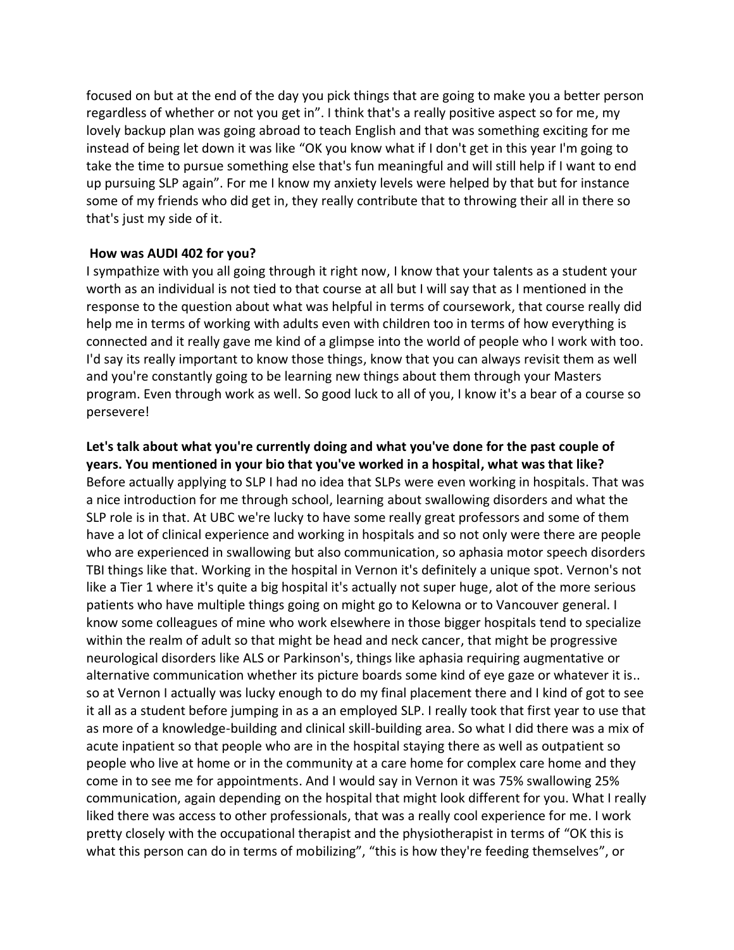focused on but at the end of the day you pick things that are going to make you a better person regardless of whether or not you get in". I think that's a really positive aspect so for me, my lovely backup plan was going abroad to teach English and that was something exciting for me instead of being let down it was like "OK you know what if I don't get in this year I'm going to take the time to pursue something else that's fun meaningful and will still help if I want to end up pursuing SLP again". For me I know my anxiety levels were helped by that but for instance some of my friends who did get in, they really contribute that to throwing their all in there so that's just my side of it.

### **How was AUDI 402 for you?**

I sympathize with you all going through it right now, I know that your talents as a student your worth as an individual is not tied to that course at all but I will say that as I mentioned in the response to the question about what was helpful in terms of coursework, that course really did help me in terms of working with adults even with children too in terms of how everything is connected and it really gave me kind of a glimpse into the world of people who I work with too. I'd say its really important to know those things, know that you can always revisit them as well and you're constantly going to be learning new things about them through your Masters program. Even through work as well. So good luck to all of you, I know it's a bear of a course so persevere!

**Let's talk about what you're currently doing and what you've done for the past couple of years. You mentioned in your bio that you've worked in a hospital, what was that like?** Before actually applying to SLP I had no idea that SLPs were even working in hospitals. That was a nice introduction for me through school, learning about swallowing disorders and what the SLP role is in that. At UBC we're lucky to have some really great professors and some of them have a lot of clinical experience and working in hospitals and so not only were there are people who are experienced in swallowing but also communication, so aphasia motor speech disorders TBI things like that. Working in the hospital in Vernon it's definitely a unique spot. Vernon's not like a Tier 1 where it's quite a big hospital it's actually not super huge, alot of the more serious patients who have multiple things going on might go to Kelowna or to Vancouver general. I know some colleagues of mine who work elsewhere in those bigger hospitals tend to specialize within the realm of adult so that might be head and neck cancer, that might be progressive neurological disorders like ALS or Parkinson's, things like aphasia requiring augmentative or alternative communication whether its picture boards some kind of eye gaze or whatever it is.. so at Vernon I actually was lucky enough to do my final placement there and I kind of got to see it all as a student before jumping in as a an employed SLP. I really took that first year to use that as more of a knowledge-building and clinical skill-building area. So what I did there was a mix of acute inpatient so that people who are in the hospital staying there as well as outpatient so people who live at home or in the community at a care home for complex care home and they come in to see me for appointments. And I would say in Vernon it was 75% swallowing 25% communication, again depending on the hospital that might look different for you. What I really liked there was access to other professionals, that was a really cool experience for me. I work pretty closely with the occupational therapist and the physiotherapist in terms of "OK this is what this person can do in terms of mobilizing", "this is how they're feeding themselves", or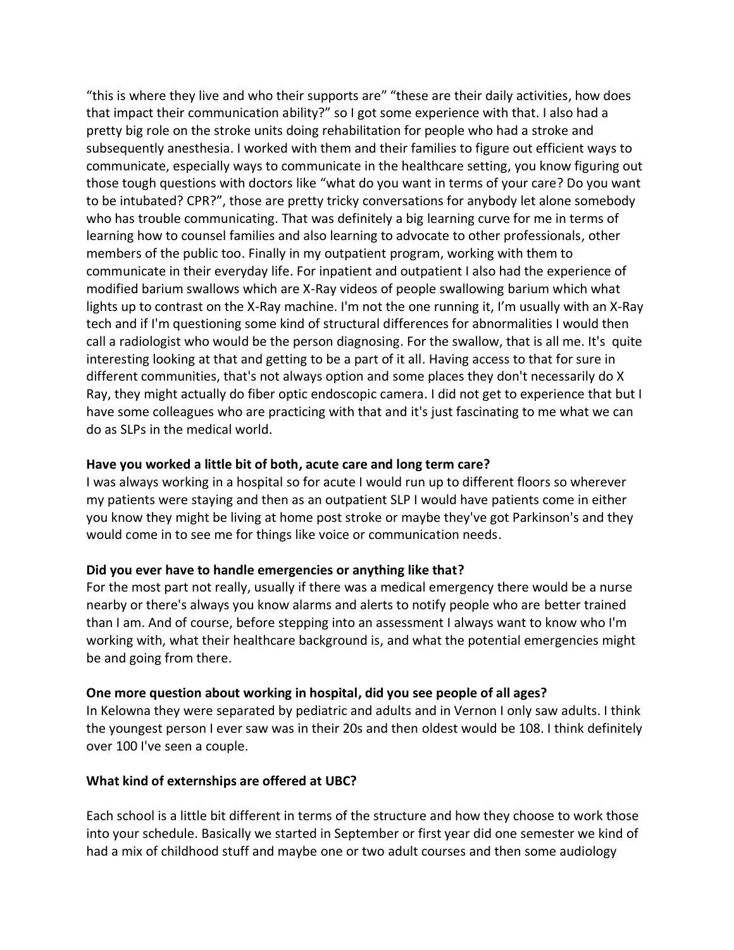"this is where they live and who their supports are" "these are their daily activities, how does that impact their communication ability?" so I got some experience with that. I also had a pretty big role on the stroke units doing rehabilitation for people who had a stroke and subsequently anesthesia. I worked with them and their families to figure out efficient ways to communicate, especially ways to communicate in the healthcare setting, you know figuring out those tough questions with doctors like "what do you want in terms of your care? Do you want to be intubated? CPR?", those are pretty tricky conversations for anybody let alone somebody who has trouble communicating. That was definitely a big learning curve for me in terms of learning how to counsel families and also learning to advocate to other professionals, other members of the public too. Finally in my outpatient program, working with them to communicate in their everyday life. For inpatient and outpatient I also had the experience of modified barium swallows which are X-Ray videos of people swallowing barium which what lights up to contrast on the X-Ray machine. I'm not the one running it, I'm usually with an X-Ray tech and if I'm questioning some kind of structural differences for abnormalities I would then call a radiologist who would be the person diagnosing. For the swallow, that is all me. It's quite interesting looking at that and getting to be a part of it all. Having access to that for sure in different communities, that's not always option and some places they don't necessarily do X Ray, they might actually do fiber optic endoscopic camera. I did not get to experience that but I have some colleagues who are practicing with that and it's just fascinating to me what we can do as SLPs in the medical world.

### **Have you worked a little bit of both, acute care and long term care?**

I was always working in a hospital so for acute I would run up to different floors so wherever my patients were staying and then as an outpatient SLP I would have patients come in either you know they might be living at home post stroke or maybe they've got Parkinson's and they would come in to see me for things like voice or communication needs.

### **Did you ever have to handle emergencies or anything like that?**

For the most part not really, usually if there was a medical emergency there would be a nurse nearby or there's always you know alarms and alerts to notify people who are better trained than I am. And of course, before stepping into an assessment I always want to know who I'm working with, what their healthcare background is, and what the potential emergencies might be and going from there.

### **One more question about working in hospital, did you see people of all ages?**

In Kelowna they were separated by pediatric and adults and in Vernon I only saw adults. I think the youngest person I ever saw was in their 20s and then oldest would be 108. I think definitely over 100 I've seen a couple.

### **What kind of externships are offered at UBC?**

Each school is a little bit different in terms of the structure and how they choose to work those into your schedule. Basically we started in September or first year did one semester we kind of had a mix of childhood stuff and maybe one or two adult courses and then some audiology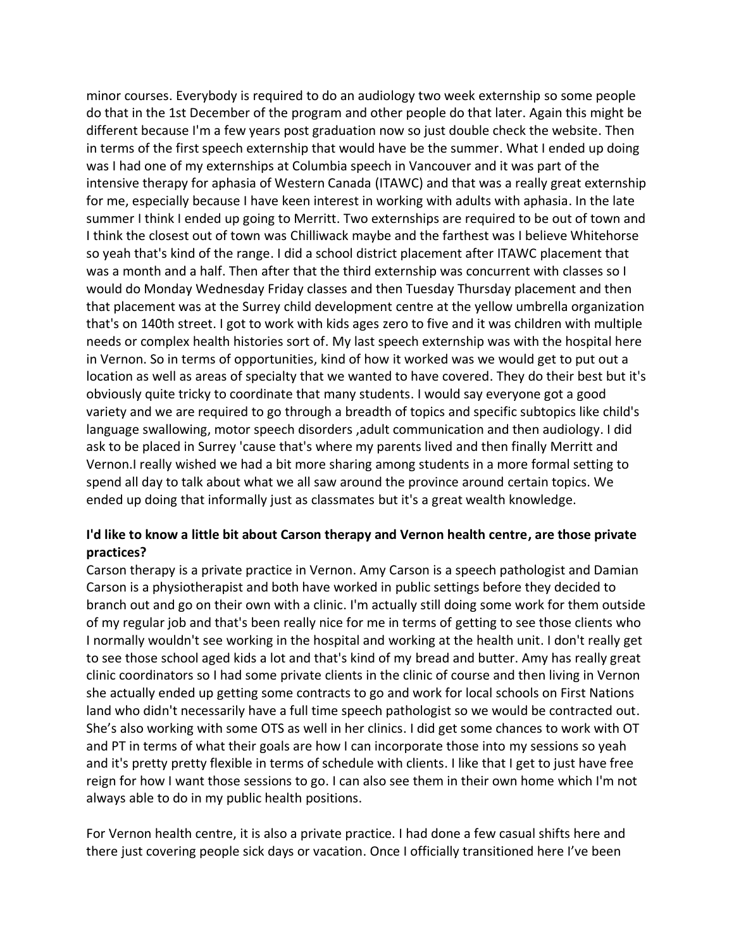minor courses. Everybody is required to do an audiology two week externship so some people do that in the 1st December of the program and other people do that later. Again this might be different because I'm a few years post graduation now so just double check the website. Then in terms of the first speech externship that would have be the summer. What I ended up doing was I had one of my externships at Columbia speech in Vancouver and it was part of the intensive therapy for aphasia of Western Canada (ITAWC) and that was a really great externship for me, especially because I have keen interest in working with adults with aphasia. In the late summer I think I ended up going to Merritt. Two externships are required to be out of town and I think the closest out of town was Chilliwack maybe and the farthest was I believe Whitehorse so yeah that's kind of the range. I did a school district placement after ITAWC placement that was a month and a half. Then after that the third externship was concurrent with classes so I would do Monday Wednesday Friday classes and then Tuesday Thursday placement and then that placement was at the Surrey child development centre at the yellow umbrella organization that's on 140th street. I got to work with kids ages zero to five and it was children with multiple needs or complex health histories sort of. My last speech externship was with the hospital here in Vernon. So in terms of opportunities, kind of how it worked was we would get to put out a location as well as areas of specialty that we wanted to have covered. They do their best but it's obviously quite tricky to coordinate that many students. I would say everyone got a good variety and we are required to go through a breadth of topics and specific subtopics like child's language swallowing, motor speech disorders ,adult communication and then audiology. I did ask to be placed in Surrey 'cause that's where my parents lived and then finally Merritt and Vernon.I really wished we had a bit more sharing among students in a more formal setting to spend all day to talk about what we all saw around the province around certain topics. We ended up doing that informally just as classmates but it's a great wealth knowledge.

# **I'd like to know a little bit about Carson therapy and Vernon health centre, are those private practices?**

Carson therapy is a private practice in Vernon. Amy Carson is a speech pathologist and Damian Carson is a physiotherapist and both have worked in public settings before they decided to branch out and go on their own with a clinic. I'm actually still doing some work for them outside of my regular job and that's been really nice for me in terms of getting to see those clients who I normally wouldn't see working in the hospital and working at the health unit. I don't really get to see those school aged kids a lot and that's kind of my bread and butter. Amy has really great clinic coordinators so I had some private clients in the clinic of course and then living in Vernon she actually ended up getting some contracts to go and work for local schools on First Nations land who didn't necessarily have a full time speech pathologist so we would be contracted out. She's also working with some OTS as well in her clinics. I did get some chances to work with OT and PT in terms of what their goals are how I can incorporate those into my sessions so yeah and it's pretty pretty flexible in terms of schedule with clients. I like that I get to just have free reign for how I want those sessions to go. I can also see them in their own home which I'm not always able to do in my public health positions.

For Vernon health centre, it is also a private practice. I had done a few casual shifts here and there just covering people sick days or vacation. Once I officially transitioned here I've been